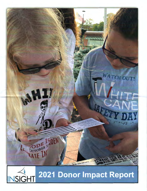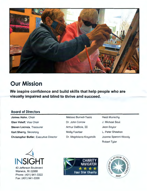

## **Our Mission**

**We inspire confidence and build skills that help people who are visually impaired and blind to thrive and succeed.** 

### **Board of Directors**

**James Hahn,** Chair **Glen Valeff,** Vice Chair **Steven Lacroix,** Treasurer **Karl Sherry,** Secretary **Christopher Butler,** Executive Director



43 Jefferson Boulevard Warwick, RI 02888 Phone: (401) 941-3322 Fax: (401) 941-3356



Heidi Munschy J. Michael Saul Jean Saylor L. Peter Sheehan Joanne Speroni-Woody Robert Tyler



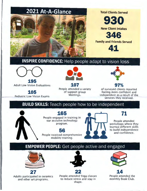## 2021 At-A-Glance





# **INSPIRE CONFIDENCE:** Help people adapt to vision loss



Adult Low Vision Evaluations

**105**  Pediatric Low Vision Exams



**107**  People attended a variety of support group Meetings.



**97%**  of surveyed clients reported feeling more confident and independent as a result of the services they received.

## **BUILD SKILLS:** Teach people how to be independent



People engaged in training in our assistive technology program.

**56** 

mobility training.



**71** 

People attended workshops where they learned different skills to build independence and confidence.

## **EMPOWER PEOPLE:** Get people active and engaged



**27**  Adults participated in ceramics and other art programs.



People attended Yoga classes to reduce stress and stay in shape.



**14**  People attended the monthly Book Club.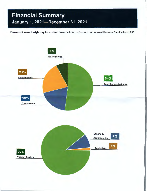## **Financial Summary January 1, 2021-December 31, 2021**

Please visit **www.in-sight.org** for audited financial information and our Internal Revenue Service Form 990.

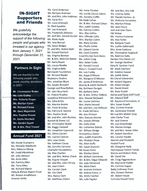## **IN-SIGHT Supporters and Friends**

We gratefully acknowledge the support of the following people and groups who invested in our agency from January 1, 2021 through December 31, 2021.

#### **Partners In Sight**

We are thankful to the following people who made monthly donations in 2021.

Mr. Christopher Butler **Ms. Lois Cuddy** Mrs. Roberta Dugan **Ms. Marilyn Eanet Mr. Richard Farias Mr. Gero Meyersiek Mrs. Pauline Proulx** Dr. Santo Riccitelli Ms. Sandra Sypek Mr. & Mrs. Paul Troxell

## **Annual Fund 2021**

Ms. Nicole Acampora Ms. Murielle Adadevoh Mrs. Rebecca Alberg Mr. Evald Albrektson Mr. John Alexyon Ms. Anne Allen Ms. Patricia Allen Ms. Terry Allen Mr. Richard Allphin Patty & Melvin Alperin Fund Mr. Robert Amalfetano Amazon Smile

Ms. Carol Anderson Ms. Barbara Andrews Mr. and Mrs. John Andrews Ms. Carie Ann Mr. Louis Antonelli Dr. Reid Appleby Mr. Leo Arsenault Ms. Fredericka Athanas Mr. and Mrs. Gerard Auclair Mrs. Elfriede Collis Mrs. Yvonne Fontaine Ms. Rosie Ayala Ms. Jane Baccari Ms. Susan Badger Dr. and Mrs. Robert Bahr Mr. Donald Bainton Ms. Virginia Bainton Mr. & Mrs. Malcolm Baxter Mr. Barry Bayon Ms. Louise Beattie Ms. Virginia Beltz Bernhardt Foundation Mr. Bernard Bieder Mudstone Studios Mrs. Jonathan Blunt Ms. Sandra Boisvert George and Rose Bolton Mr. John Bouchard Dr. Helene Bradley Josephine Brennan-Corey Ms. Edna Britto Ms. Marsha Brome Mr. Frank Bromley Ms. Patricia B. Salome Mrs. Pauline Brule Mr. and Mrs. John Buckley Burnett & Sherer LLC Mr. Christopher Butler Ms. Peggy Caldwell Ms. Josephine Capozzoli Ms. Vilma Carcieri Ms. Joanna Carlone Mrs. Jane Casey Ms. Kathleen Casey Ms. Dorothy Cervone Champlin Foundations Ms. Rita Chartier Mr. and Mrs. Walter Check Ms. Elayne Chopak Mr. and Mrs. John Christy Ms. Joan Cimini Ms. Carolyn Clark Mr. Len Clark Mrs. Nancy Clark Mr. Matthew Clarkin

Ms. Lucille Coccio Calore Ms. Cosima Fallon Ms. Dorothy Coffin Mr. Placido Femino, Sr. Ms Dede Cohen Ms. Anthony Fernandes Mr. & Mrs. Richard Cohen Ms. Marilyn Finizia Mrs. Judith Coletta Ms. Jane Fleury Ms. Patricia Collins Jack and Joan Flynn Mrs. Rita Collins FM Global Mrs. Marilyn Colvin Ms. Ann Fortin Ms. Mary Condry Ms. Barbara Frueh Ms. Phyllis Conte Ms. Lucille Gaboriault Mr. Edward Corrie Mrs. Anne Gadoury Ms. Carol Costello Mr. Christopher Gagliardi Coventry Eye Care Assoc. Ms. Beatrice Gallo Ms. JoAnn Craig Garden City Owner LLC Mrs. Helen Croke Mr. George Gardiner Mr. Ronald Crouch Edna B. Gardner Fund Mary C. Crowell Fund Mr. Mark Garrison Ms. Lois Cuddy Mr. Adelino Gaspar Ms. Angie D'Albora Ms. Judith Gates Ms. Margaret D'Alfonso Ms Cheryl Gherardini Mr. James D'Ambrosia Mr. Roland Giguere Murray & Judith Danforth Ms. Helen Giorgio Ms. Kathleen Darigan Mr. David Girard Ms. Barbara Davis Ms. Rose Girard Mrs. Danute DeCesare Mr. Edward Goff Mrs. Maria Denault Mrs. Susan Graefe Mr. and Mrs. Leo DeRouin Mrs. Corinne Grande Dr. Frank DiChiara Ms. Genevieve Grande Ms. Ann Dickson Mr and Mrs Walter Gray Mrs. Dolores Dionne John Clarke Trust Mr. Joseph DiPrete Mr. Jack Greene Ms. Holly Dirks Ms. Lisa Greenhalgh Ms. Catherine Dobish Ms. Dianna Grenga Mr. William Dodge Mr. and Mrs. James Hahn Anonymous Donor Mr. Robert Hamilton Mrs. Judith Drainville Ms. Carolyn Hardie Ms. Madalyn Drew Warren and Elizabeth Ms. Alice Duffy Haskell Fund Ms. Susan Dumont Ms. Margaret Heile Ms. Marilyn Eanet Marcia and Robert Hicks Mr. William Earnshaw Mr. David Hie Mr. & Mrs. Edgar Edwards Mr. Craig Higginbottom Ms. Judy Ellinwood Mr. Raymond Hodde Ms. Alicia Elwin Ms. Corinne Hogan Mr. Andrew Erickson Betty Holloway Trust Mr. Aubrey Every, Jr. Mrs. Doreen Holmes Ms. Molly Faerber Mr. Robert Houle Ms. Julie Fagden Cornelia Howell Fund

Ms. Irene Cloutier Mr. and Mrs. Eric Falk Mr. & Mrs. Arthur DeBlois Darius and Paula Goff Fund Ms. Louise DeGrass Mr. Raymond Gonsalves, III Ms Susan Dunn Hemingway Hamlin Family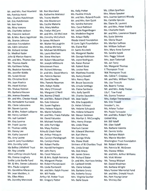Mr. and Mrs. Paul Howland Mr. Ron Marsland Ms. Kelly Potter Ms. Lillian Sparfven<br>Mrs. Ratricia Hurst Ms. Katherine Marsocci Ms. Pauline Proulx Mrs. Mona Speaker Ms. Patricia Hurst Ms. Katherine Marsocci Ms. Pauline Proulx Mrs. Mona Speaker<br>Mr. Gharles Hutchinson Ms. Tracey Martin Mr. and Mrs. Roland Proulx Mrs. Joanne Speroni-Woody Mrs. Charles Hutchinson Ms. Tracey Martin Mr. and Mrs. Roland Proulx Mrs. Joanne Speron<br>Mr. Angles Mr. Ann Masterson Mr. and Mrs. Ken Quirk Ms. Camille Spicola Mr. Eric Hutchinson Ms. Ann Masterson Mr. and Mrs. Ken Quirk Ms. Camille Spicola<br>Mr. Ken Hyne Ms. Cecilia Materia Ms. Sandra Rainone Ms. Diane St. Laurent Mr. Ken Hyne Ms. Cecilia Materia Ms. Sandra Rainone<br>Ms. Nina Ivanova Mrs. Mary Mattos Mrs. Carol Rathbun Ms. Nina Ivanova Mrs. Mary Mattos Mrs. Carol Rathbun Mr. and Mrs. Peter Stabile<br>Mr. Jackson Mr. Jackson Mr. Leslie Regenhogen Ms. Charlotte Stark Ms. Charlotte Jackson Ms. Evelyn McCann Mr. Leslie Regenbogen<br>Ms. Francine Jackson Mr. and Mrs. Gil McCrave Ms. Madeline Regine Mr. & Mrs. Barry Jagolinzer Ms. Dorothy McCulloch Ms. Arlean Reilly Ms. Susie Stimma<br>Ms. Sharen Johnson Dr. James McJuvain Rhode Island Foundation Ms. Gloria Stuart Ms. Sharon Johnson Dr James McIlwain Rhode Island Foundation Ms. Gloria Stuart Nullivan Johnston Foundation Mr. Walter McLaughlin RI Lions Sight Foundation Ms. Marilyn Sullivan<br>Ms. Edith Johnston Ms. Andrea McVety Ms. Flaine Rial Mr. William Sullivan Ms. Edith Johnston Ms. Andrea McVety Ms. Elaine Rial Mr. William Sullivan<br>Mr. Bichard Jordan Mr. Michael McWilliams Dr. Santo Riccitelli Mrs. Mary Anne Sumner Mr. Richard Jordan Mr. Michael McWilliams Dr. Santo Riccitelli Dr. Medhat Kader Ms. Laura Mecham Ms. Margaret Rieske Ms. Sandra Sypek John & Marion Kearns Mr. Steve Mecham Mr. George Robinson Mrs. Peggy Szlosek Mr. and Mrs. Thomas Kee Mr. Robert Messerlian Ms. Joyce Rodrigues Mrs. Jean Tattersall Mr. Thomas Keefe Mr. Joseph Miltimore Ms. Karen Romer Ms. Jan Terry Ms. Kathleen Kelley Minuteman Press Mr. Robert Rose Ms. Margaret Thomas<br>
Ms. Beatrice Kennedy Mr. Richard Moreau Ms. Louise Ross E Thompson Trust Ms. Beatrice Kennedy Mr. Richard Moreau Ms. Louise Ross Ms. Jennifer Kiddie Dr. and Mrs. David Morris Mr. Matthew Rounds WA Thompson Trust Ms. Susan Kinzer **Ms. Patricia Nanian** Ms. Nancy Rowell Ms. Celine T. Crepeau Ms. Joan Kiselica Mrs. Pamela Newman Mr. Bruce Saccoccio Ms. Lisa Tirocchi Ms. Hazel Kizirian Mrs. Robyn Noble Ms. Ursula Santiago Ms. Beatriz Tomaz Ms. Shakay Kizirian Ms. Mary O'Connell Ms. Elaine Santiano Mr. and Mrs. Andy Toolan Ms. Barbara Klausen Ms. Margaret O'Neill Mrs. Kelly Santilli Lily C. Tow Fund Ms. Jeanne Knowles Ms. Norma O'Neill Mr. Charles Saunders Ms. Donna Treanor Mr. and Mrs. Chester Kosak Mr. and Mrs. Robert O'Neill Ms. Jean Saylor Mrs. Evelyn Trenteseaux Ms. Bernadette Kurowski Ms. Evie Osborne Ms. Etta Scappaticci Ms. Erin Troxell Ms. Claire Labossiere Ms. Susan Pagliaro Dr. Helen Schinazi Snooker's, Inc. Mr. Steven Lacroix Mrs. Helene Palazini Ms. Helaine Schupack Ms. Arlene Tucker Mr. & Mrs. Robert Laliberte Ms. Marie Palladino Ms. Helene Schwartz Ms. Paula Turnquist Mr. Henry Lambert Mr. and Mrs. Frank Pallotta Mr. Steven Seidman Mr. and Mrs. Robert Tyler Ms. Judi Lambert Mr. David Palumbo Ms. Marilyn S. Mcconaghy United Way Mr. Guy Lasorsa Mr. Michael Paradiso Mrs. Henry Sharpe Mr. Bill Valeff Mr. Frank Laurito Mr. John Partridge Ms. Linda Shaw Mr. Glen Valeff Dr. Thomas Leddy Ms. Mary Pastina Sherlock Center Ms. Barbara Valente Mr. Danny Lee Krina & UJash Patel Mr. Edward Sherman Mr. Dennis Votto Ms. Kathy Leonard Mr. Arthur Peloquin Mr. Karl Sherry Ms. Barbara Walsh Ms. Amy Levine Ms. Carolyn Pendegraph Mr. George Shola Ms. Marcia Warden Mrs. Dorothy Licht Mr. Robert Perillo Shriners of RI Charities Trust Mr. Robert Watterson Ida Ballou Littlefield Trust Mr. Harold Perlingiero Ms. Linda Sinapi Ms. Patricia W. McGreen Mr. Roy Loiselle Mr. John Perry Ms. Deb Siraco Ms. Dianne Wilkin Ms. Donna Loughery Mr. & Mrs. Ralph Petrarca Mr. Richard Slater Ms. Vicki Winter Emilie Luiza Borda Fund Ms. Margaret Phelps Dr. and Mrs. Harrison Smiley Ms. Teresa Wishart Mr. & Mrs. Steven Lukowicz Mr. Robert Poniatowski Dr. Caldwell Smith Mr. David Woolman Mrs. Paula Lusignan Ms. Linda Pontarelli Ms. Claire Soboda Ms. Barbara Wright Mr. Jean Madden, Jr. Mr. Wil Postle Ms. Roberta Soucy Mr. and Mrs. Donald Youch Ms. Ellen Mara Arthur M. Potter Trust Mrs. Virginia Sautter Ms. Pam Young-Lietar Ms. Dorothy Marciniak Mr. Gregory Potter Ms. Delia Souza Ms. Shrirley Zier

Ms. Francine Jackson Mr. and Mrs. Gil McCrave Ms. Madeline Regine Mr. and Mrs. Lawrence Steere Ms. Christine Kirch Mr. David Neville Mrs. Nancy Ryan Mr. and Mrs. William Tilchin June R. Levy Foundation Ms. Carolyn Perez Ms. Diane Shott Washington Trust Foundation Alice Lothrop Lincoln Fund Ms. Carol Peterson Mr. James Siravo Mr. and Mrs. Arthur Williams Ms. Geraldine Maceroni Mr. and Mrs. Ralph Posner Ms. Barbara Soucy Mary Yonker Memorial Fund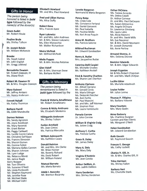#### **Gifts in Honor**

The person being honored is listed in **bold type** followed by the name(s) of the donor(s).

**Grace Audet**  Mr. Robert Houle

**Pauline Brule**  Ms. Shirley Tullson

**Dr. Joseph Boivin**  Mr. William McKenzie

**Brooke**  Ms. Steph Cabral Mr. John English Mr. Gregg Leblond

**Bernadette Dawson**  Mr. Robert Dawson, Ill Ms. Diane Finch

**Robert M. Dawson IV**  Mr. & Mrs. Douglas Dawson

**Mary Guissari**  Mr. Jeffrey Ambers Ms. Nancy Andersen

**Everett Halsall**  Ms. Kathy Thornton

**Barbara Hamil**  Ms. Edith Mandeville

**Doreen Holmes**  Ms. Sandy Agronick Ms. Joyce Avedisian Ms. Mary Baranski Mr. Grant Barker Ms. Peggy Caldwell Ms. Lucille Coccio Calore Ms. Christine DeFilippo Ms. Frances Donovan Ms. Sharon Eisman Ms. Cosima Fallon Ms. Mariana Galbis Cannon Ms. Sharon Johnson Ms. Lynn Luttge Ms. Rebecca Monti Ms. Janice Nagle Kerry Nopper Mr. Tom Oliveira Ms. Suzanne O'Neill Ms. Linda Pontarelli Mr. Stephen Raymond Ms. Jennifer Rose Mr. Michael Slade Mr. Michael Veltr

**Elizabeth Howland**  Mr. and Mrs. Paul Howland

**Fred and Lillian Humes**  Ms. Alice Duffy

**Robert Kane**  Mrs. Frances Kane

**Ryan Lukowicz**  Mr. and Mrs. John Andrews Mr. & Mrs. Steven Lukowicz Ms. Ellen Manocchia Mr. Walter Richardson

**Moira McPeak**  Mr. Wilfred McPeak

**Molle Pappas**  Mr. & Mrs. Nicolas Retsinas

**Glen Valeff**  Mr. & Mrs. Sherman Drew Ms. Barbara McNeil

#### **Gifts in Memory**

The person being remembered is listed in **bold type** followed by the

**Frank & Victoria Amalfetano**  Mr. Robert Amalfetano

**Connie & Nicky Amitrano**  Ms. Elizabeth Medeiros

**Hildegarde Anderson**  Ms. Shirley Tullson

**Evelyn Armfield**  Ms. Joan Cimini Ms. Patricia Marcotte

**William Aylesworth**  Ms. Kathleen Casey

**Donald Bainton**  Mr. and Mrs. Jim Clarke Mr. Brian Hunter Ms. Beverly Richard Ms. Doris Robert Mr. William Roland

**Manuel Barreto**  Ms. Maria Barreto

**Adele I. Bazarsky**  Mr. Brenton Bazarsky **Lorette Bergeron**  Normand & Maria Bergeron

**Penny Bobe**  Ms. Linda Cole Ms. Constance Ferland Mr. Daniel Genannt Mr. Paul Isabella Ms. Pauline Mello Ms. Keri Anne Paquin

**Anna M. Brothers**  Ms. Patricia Salome

**Mildred Buchanan**  Mr. Edward Garabedian

**Henry A. Butler**  Mrs. Jacqueline Butler

**Caterina Delli Carpini**  Ms. Michelle Gruden Ms. Kathleen Nottell

**Fred & Dorothy Charlton**  Ms. Sharon Lee Charlton

**Anthony Cipriano**  Mr. Alfred Cipriano Mr. Gerald Cordy Ms. Maria Ettinger Ms. Deborah Fletcher Ms. Ann Fortin Mr. Paul Mancini Mr. and Mrs. Jeff Monner Mr. Stephen Rice Ms. Laura Ventetuolo

**Pamela Corrow**  Dr. John Corrow

**William & Virginia Craig**  Ms. JoAnn Craig

**Anthony C. Cunha**  Ms. Patricia Cunha

**Grace R. Daley**  Mr. James Daley

**Mary A. Daly**  Ms. Mary Daly

**Virginia D'Antinio**  Ms. Jean Cotoia

**Arthur DeBlois, Jr.**  Mrs. Judith DeBlois

**Harry Derderian**  Mrs. Shirley Derderian **Esther DiChiara** 

Ms. Teresa Accardo Ms. Debra Catelli Dr. Arthur Corvese Dr. and Mrs. Paul Decesare Ms. Susan Delmonico Ms. Angela DiChiara Dr. Lawrence Ginsberg Ms. Laura Lakin Ms. Alicia Mancini Dr. and Mrs. David Mills Ms. Eva Nascenzi Mr. & Mrs. David Neumann Dr. Joseph Osmanski Ms. Anne Perlow

**Armand Dionne, Jr.**  Mrs. Dolores Dionne

**Beatrice Edwards**  Mr. & Mrs. Edgar Edwards

**Joseph Erganian**  Mr & Mrs Robert Chapman Mr. and Mrs. Mark Chitjian

**Lucille Ethier**  Ms. Murielle Adadevoh

**Louise Felder**  Mr. Julius Levine

**Thomas P. Fillipino**  Ms. Barbara Valente

**Mary Fountain**  Mrs. Mary Godin

**Anne Gadoury**  Ms. Charlene Burgner Carmen and Alex Olenic Ms. Margaret O'Neill

**Helen Garabedian**  Mr. Edward Garabedian

**Ruth Gauvin**  Mr. Raymond Gauvin

**Frances E. George**  Ms. Cathy Lockett

**Charles H. Gill, Jr.**  Mr. & Mrs. Charles Gill, Ill

**Trina Harrison**  Ms. Shirley Fallon

**Barbara Hart**  Ms. Charlotte Stark